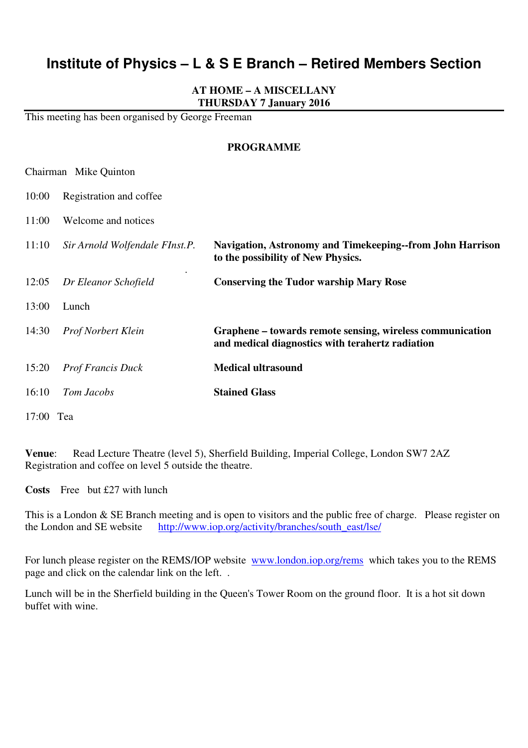# **Institute of Physics – L & S E Branch – Retired Members Section**

## **AT HOME – A MISCELLANY THURSDAY 7 January 2016**

This meeting has been organised by George Freeman

Chairman Mike Quinton

#### **PROGRAMME**

| 10:00     | Registration and coffee        |                                                                                                               |
|-----------|--------------------------------|---------------------------------------------------------------------------------------------------------------|
| 11:00     | Welcome and notices            |                                                                                                               |
| 11:10     | Sir Arnold Wolfendale FInst.P. | Navigation, Astronomy and Timekeeping--from John Harrison<br>to the possibility of New Physics.               |
| 12:05     | Dr Eleanor Schofield           | <b>Conserving the Tudor warship Mary Rose</b>                                                                 |
| 13:00     | Lunch                          |                                                                                                               |
| 14:30     | <b>Prof Norbert Klein</b>      | Graphene – towards remote sensing, wireless communication<br>and medical diagnostics with terahertz radiation |
| 15:20     | <b>Prof Francis Duck</b>       | <b>Medical ultrasound</b>                                                                                     |
| 16:10     | Tom Jacobs                     | <b>Stained Glass</b>                                                                                          |
| 17:00 Tea |                                |                                                                                                               |

**Venue**: Read Lecture Theatre (level 5), Sherfield Building, Imperial College, London SW7 2AZ Registration and coffee on level 5 outside the theatre.

**Costs** Free but £27 with lunch

This is a London & SE Branch meeting and is open to visitors and the public free of charge. Please register on the London and SE website http://www.iop.org/activity/branches/south\_east/lse/

For lunch please register on the REMS/IOP website www.london.iop.org/rems which takes you to the REMS page and click on the calendar link on the left. .

Lunch will be in the Sherfield building in the Queen's Tower Room on the ground floor. It is a hot sit down buffet with wine.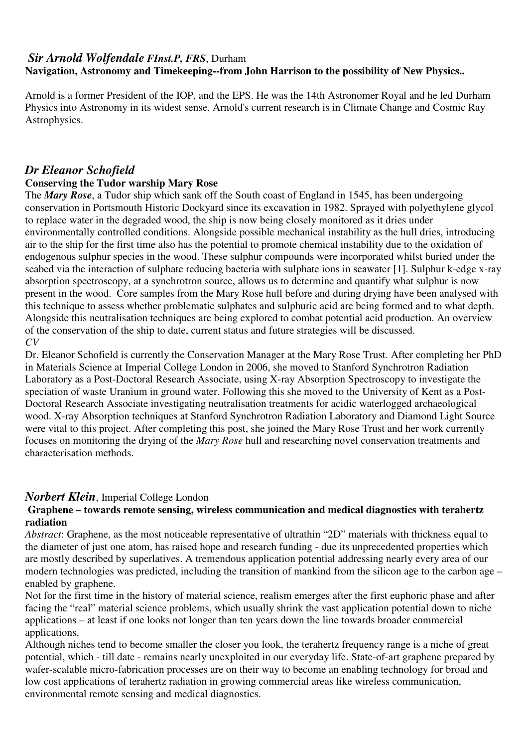# *Sir Arnold Wolfendale FInst.P, FRS*, Durham **Navigation, Astronomy and Timekeeping--from John Harrison to the possibility of New Physics..**

Arnold is a former President of the IOP, and the EPS. He was the 14th Astronomer Royal and he led Durham Physics into Astronomy in its widest sense. Arnold's current research is in Climate Change and Cosmic Ray Astrophysics.

# *Dr Eleanor Schofield*

## **Conserving the Tudor warship Mary Rose**

The *Mary Rose*, a Tudor ship which sank off the South coast of England in 1545, has been undergoing conservation in Portsmouth Historic Dockyard since its excavation in 1982. Sprayed with polyethylene glycol to replace water in the degraded wood, the ship is now being closely monitored as it dries under environmentally controlled conditions. Alongside possible mechanical instability as the hull dries, introducing air to the ship for the first time also has the potential to promote chemical instability due to the oxidation of endogenous sulphur species in the wood. These sulphur compounds were incorporated whilst buried under the seabed via the interaction of sulphate reducing bacteria with sulphate ions in seawater [1]. Sulphur k-edge x-ray absorption spectroscopy, at a synchrotron source, allows us to determine and quantify what sulphur is now present in the wood. Core samples from the Mary Rose hull before and during drying have been analysed with this technique to assess whether problematic sulphates and sulphuric acid are being formed and to what depth. Alongside this neutralisation techniques are being explored to combat potential acid production. An overview of the conservation of the ship to date, current status and future strategies will be discussed. *CV*

Dr. Eleanor Schofield is currently the Conservation Manager at the Mary Rose Trust. After completing her PhD in Materials Science at Imperial College London in 2006, she moved to Stanford Synchrotron Radiation Laboratory as a Post-Doctoral Research Associate, using X-ray Absorption Spectroscopy to investigate the speciation of waste Uranium in ground water. Following this she moved to the University of Kent as a Post-Doctoral Research Associate investigating neutralisation treatments for acidic waterlogged archaeological wood. X-ray Absorption techniques at Stanford Synchrotron Radiation Laboratory and Diamond Light Source were vital to this project. After completing this post, she joined the Mary Rose Trust and her work currently focuses on monitoring the drying of the *Mary Rose* hull and researching novel conservation treatments and characterisation methods.

## *Norbert Klein*, Imperial College London

## **Graphene – towards remote sensing, wireless communication and medical diagnostics with terahertz radiation**

*Abstract*: Graphene, as the most noticeable representative of ultrathin "2D" materials with thickness equal to the diameter of just one atom, has raised hope and research funding - due its unprecedented properties which are mostly described by superlatives. A tremendous application potential addressing nearly every area of our modern technologies was predicted, including the transition of mankind from the silicon age to the carbon age – enabled by graphene.

Not for the first time in the history of material science, realism emerges after the first euphoric phase and after facing the "real" material science problems, which usually shrink the vast application potential down to niche applications – at least if one looks not longer than ten years down the line towards broader commercial applications.

Although niches tend to become smaller the closer you look, the terahertz frequency range is a niche of great potential, which - till date - remains nearly unexploited in our everyday life. State-of-art graphene prepared by wafer-scalable micro-fabrication processes are on their way to become an enabling technology for broad and low cost applications of terahertz radiation in growing commercial areas like wireless communication, environmental remote sensing and medical diagnostics.